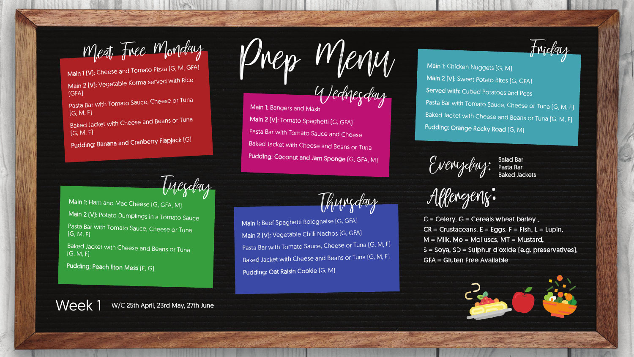Wednesday Main 1: Bangers and Mash Main 2 (V): Tomato Spaghetti (G, GFA) Pasta Bar with Tomato Sauce and Cheese Baked Jacket with Cheese and Beans or Tuna Pudding: Coconut and Jam Sponge [G, GFA, M]

Friday

Allengenz:

 $C = C$ elery,  $G = C$ ereals wheat barley,  $CR =$  Crustaceans,  $E =$  Eggs,  $F =$  Fish,  $L =$  Lupin,  $M =$  Milk, Mo = Molluscs, MT = Mustard, S = Soya, SD = Sulphur dioxide (e.g. preservatives), **GFA = Gluten Free Available** 





Tuesday Thursday

Pasta Bar with Tomato Sauce, Cheese or Tuna (G, M, F)

Main 1 (V): Cheese and Tomato Pizza (G, M, GFA) Main 2 (V): Vegetable Korma served with Rice (GFA)

Baked Jacket with Cheese and Beans or Tuna (G, M, F)

Pudding: Banana and Cranberry Flapjack (G)

Main 1: Ham and Mac Cheese [G, GFA, M] Main 2 (V): Potato Dumplings in a Tomato Sauce Pasta Bar with Tomato Sauce, Cheese or Tuna (G, M, F)

**Baked Jacket with Cheese and Beans or Tunal** (G, M, F)

Pudding: Peach Eton Mess (E, G)

Main 1: Chicken Nuggets (G, M) Main 2 (V): Sweet Potato Bites (G, GFA) Served with: Cubed Potatoes and Peas Pasta Bar with Tomato Sauce, Cheese or Tuna [G, M, F] Baked Jacket with Cheese and Beans or Tuna [G, M, F] Pudding: Orange Rocky Road (G, M)

Everyday: Salad Bar<br>Everyday: Pasta Bar

Main 1: Beef Spaghetti Bolognaise (G, GFA) Main 2 (V): Vegetable Chilli Nachos (G, GFA) Pasta Bar with Tomato Sauce, Cheese or Tuna (G, M, F) Baked Jacket with Cheese and Beans or Tuna [G, M, F] Pudding: Oat Raisin Cookie (G, M)

Week 1 W/C 25th April, 23rd May, 27th June

Meat Free Monday<br>1 (V): Cheese and Tomato Pizza (G, M, GFA) VMPp MPP MM

Pasta Bar Baked Jackets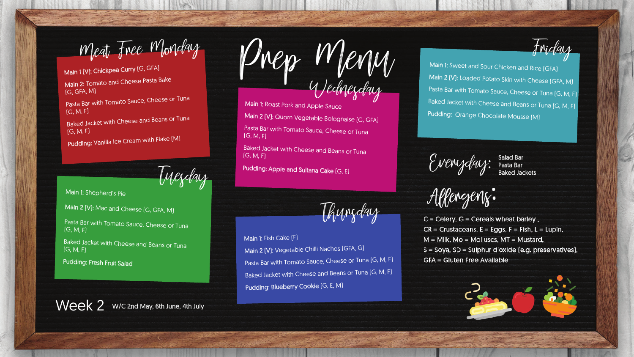$M$ eat Free Monday<br>1(V): Chickpea Curry (G, GFA)<br>2.7 web and Cheese Pasta Bake Wednesday

Friday

Everyday: Salad Bar<br>Everyday: Pasta Bar

Tuesday

Thursday

Main 1 (V): Chickpea Curry [G, GFA] Main 2: Tomato and Cheese Pasta Bake (G, GFA, M)

> Main 2 (V): Quorn Vegetable Bolognaise (G, GFA) Pasta Bar with Tomato Sauce, Cheese or Tuna

Pasta Bar with Tomato Sauce, Cheese or Tuna (G, M, F)

Baked Jacket with Cheese and Beans or Tuna (G, M, F)

Pudding: Vanilla Ice Cream with Flake [M]

Baked Jacket with Cheese and Beans or Tuna (G, M, F)

Main 1: Fish Cake [F] Pudding: Blueberry Cookie [G, E, M]

Main 1: Sweet and Sour Chicken and Rice (GFA) Main 2 [V]: Loaded Potato Skin with Cheese [GFA, M] Pasta Bar with Tomato Sauce, Cheese or Tuna [G, M, F] Baked Jacket with Cheese and Beans or Tuna [G, M, F] Pudding: Orange Chocolate Mousse [M]

(G, M, F)

Main 2 (V): Vegetable Chilli Nachos (GFA, G) Pasta Bar with Tomato Sauce, Cheese or Tuna [G, M, F] Baked Jacket with Cheese and Beans or Tuna [G, M, F]

Pudding: Apple and Sultana Cake (G, E)

Main 1: Shepherd's Pie

Main 2 (V): Mac and Cheese [G, GFA, M]

Pasta Bar with Tomato Sauce, Cheese or Tuna  $(G, M, F)$ 

**Baked Jacket with Cheese and Beans or Tunal**  $[G, M, F]$ 

Pudding: Fresh Fruit Salad

Week 2 W/C 2nd May, 6th June, 4th July



Main 1: Roast Pork and Apple Sauce

Pasta Bar Baked Jackets

Allengenz:

 $C = C$ elery,  $G = C$ ereals wheat barley,  $CR =$  Crustaceans,  $E =$  Eggs,  $F =$  Fish,  $L =$  Lupin,  $M =$  Milk, Mo = Molluscs, MT = Mustard, S = Soya, SD = Sulphur dioxide (e.g. preservatives), **GFA = Gluten Free Available** 

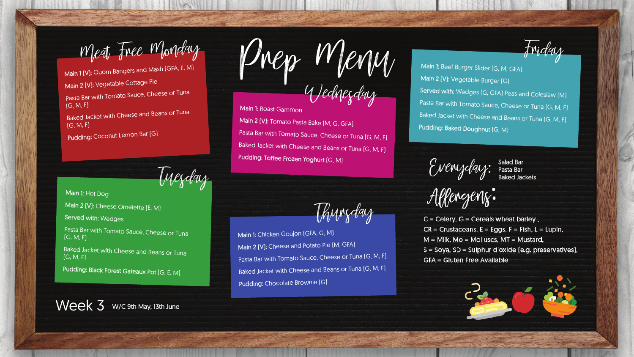Friday

Allengenz:

 $C = C$ elery,  $G = C$ ereals wheat barley,  $CR =$  Crustaceans,  $E =$  Eggs,  $F =$  Fish,  $L =$  Lupin,  $M =$  Milk, Mo = Molluscs, MT = Mustard, S = Soya, SD = Sulphur dioxide (e.g. preservatives), **GFA = Gluten Free Available** 





Tuesday

Thursday

Main 1 (V): Quorn Bangers and Mash (GFA, E, M) Main 2 (V): Vegetable Cottage Pie Pasta Bar with Tomato Sauce, Cheese or Tuna  $(G, M, F)$ Baked Jacket with Cheese and Beans or Tuna (G, M, F)

Main 1: Beef Burger Slider (G, M, GFA) Main 2 (V): Vegetable Burger (G) Served with: Wedges [G, GFA] Peas and Coleslaw [M] Pasta Bar with Tomato Sauce, Cheese or Tuna [G, M, F] Baked Jacket with Cheese and Beans or Tuna [G, M, F] Pudding: Baked Doughnut [G, M]

Everyday: Salad Bar<br>Everyday: Pasta Bar

Wednesday Main 1: Roast Gammon Main 2 (V): Tomato Pasta Bake (M, G, GFA) Pasta Bar with Tomato Sauce, Cheese or Tuna [G, M, F] Baked Jacket with Cheese and Beans or Tuna [G, M, F] Pudding: Toffee Frozen Yoghurt (G, M)

Pudding: Coconut Lemon Bar (G)

**Baked Jacket with Cheese and Beans or Tunal** (G, M, F)

Main 1: Hot Dog

Main 2 (V): Cheese Omelette (E, M)

Served with: Wedges

Pasta Bar with Tomato Sauce, Cheese or Tuna  $[G, M, F]$ 

Pudding: Black Forest Gateaux Pot (G, E, M)

Week 3 W/C 9th May, 13th June



Main 1: Chicken Goujon (GFA, G, M) Main 2 (V): Cheese and Potato Pie (M, GFA) Pasta Bar with Tomato Sauce, Cheese or Tuna [G, M, F] Baked Jacket with Cheese and Beans or Tuna [G, M, F] Pudding: Chocolate Brownie (G)

 $M$ eat Free Monday  $M_{\text{P}}$ <br> $M_{\text{P}}$ 

Pasta Bar Baked Jackets